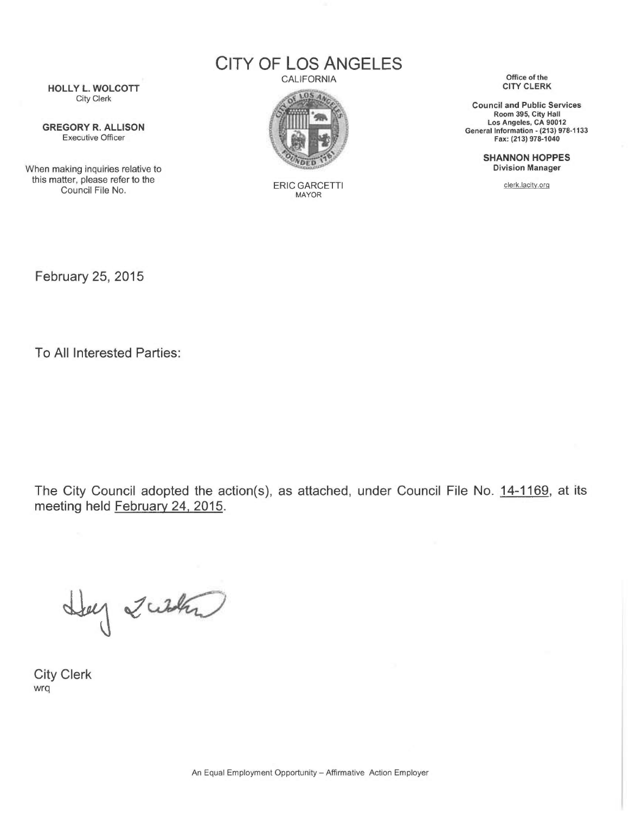CITY OF LOS ANGELES

**CALIFORNIA** 



ERIC GARCETTI MAYOR

Office of the CITY CLERK

Council and Public Services Room 395, City Hall Los Angeles, CA 90012 General Information - (213) 978-1133 Fax: (213) 978-1040

> SHANNON HOPPES Division Manager

> > clerk.lacity.orq

HOLLY L. WOLCOTT City Clerk

GREGORY R. ALLISON Executive Officer

When making inquiries relative to this matter, please refer to the Council File No.

February 25, 2015

To All Interested Parties:

The City Council adopted the action(s), as attached, under Council File No. 14-1169, at its meeting held February 24, 2015.

Hey Zusta

City Clerk wrq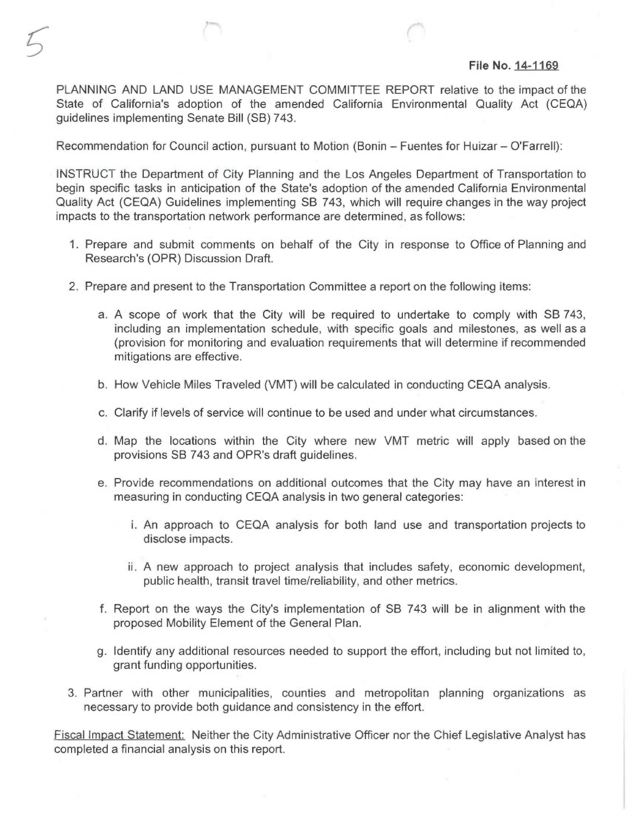### File No. 14-1169

PLANNING AND LAND USE MANAGEMENT COMMITTEE REPORT relative to the impact of the State of California's adoption of the amended California Environmental Quality Act (CEQA) guidelines implementing Senate Bill (SB) 743.

Recommendation for Council action, pursuant to Motion (Bonin — Fuentes for Huizar — O'Farrell):

INSTRUCT the Department of City Planning and the Los Angeles Department of Transportation to begin specific tasks in anticipation of the State's adoption of the amended California Environmental Quality Act (CEQA) Guidelines implementing SB 743, which will require changes in the way project impacts to the transportation network performance are determined, as follows:

- 1. Prepare and submit comments on behalf of the City in response to Office of Planning and Research's (OPR) Discussion Draft.
- 2. Prepare and present to the Transportation Committee a report on the following items:
	- a. A scope of work that the City will be required to undertake to comply with SB 743, including an implementation schedule, with specific goals and milestones, as well as a (provision for monitoring and evaluation requirements that will determine if recommended mitigations are effective.
	- b. How Vehicle Miles Traveled (VMT) will be calculated in conducting CEQA analysis.
	- c. Clarify if levels of service will continue to be used and under what circumstances.
	- d. Map the locations within the City where new VMT metric will apply based on the provisions SB 743 and OPR's draft guidelines.
	- e. Provide recommendations on additional outcomes that the City may have an interest in measuring in conducting CEQA analysis in two general categories:
		- i. An approach to CEQA analysis for both land use and transportation projects to disclose impacts.
		- ii. A new approach to project analysis that includes safety, economic development, public health, transit travel time/reliability, and other metrics.
	- f. Report on the ways the City's implementation of SB 743 will be in alignment with the proposed Mobility Element of the General Plan.
	- g. Identify any additional resources needed to support the effort, including but not limited to, grant funding opportunities.
- 3. Partner with other municipalities, counties and metropolitan planning organizations as necessary to provide both guidance and consistency in the effort.

Fiscal Impact Statement: Neither the City Administrative Officer nor the Chief Legislative Analyst has completed a financial analysis on this report.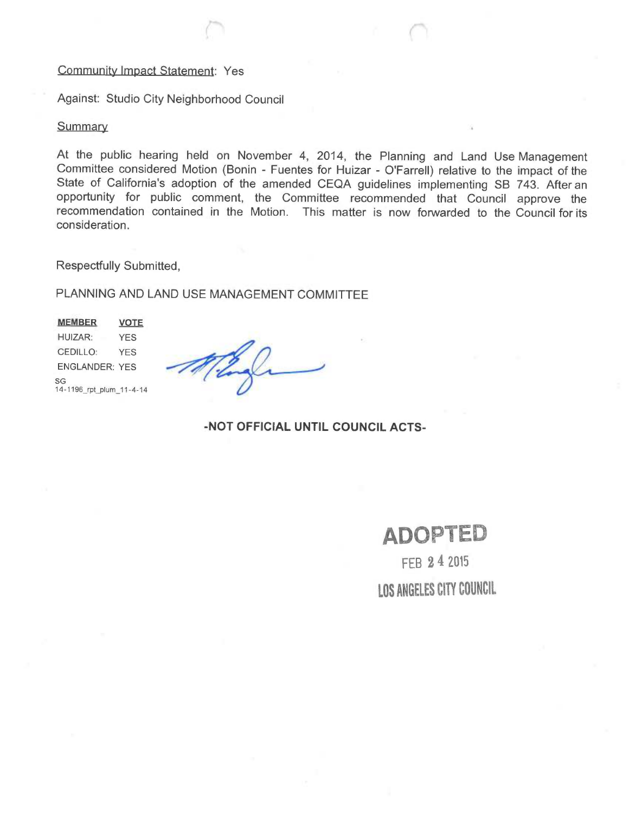## Community Impact Statement: Yes

Against: Studio City Neighborhood Council

### **Summary**

At the public hearing held on November 4, 2014, the Planning and Land Use Management Committee considered Motion (Bonin - Fuentes for Huizar - O'Farrell) relative to the impact of the State of California's adoption of the amended CEQA guidelines implementing SB 743. After an opportunity for public comment, the Committee recommended that Council approve the recommendation contained in the Motion. This matter is now forwarded to the Council for its consideration.

Respectfully Submitted,

PLANNING AND LAND USE MANAGEMENT COMMITTEE

MEMBER VOTE HUIZAR: YES CEDILLO: YES ENGLANDER: YES SG 14-1196\_rpt\_plum\_11-4-14

-NOT OFFICIAL UNTIL COUNCIL ACTS-

# ADOPTED

FEB 2 4 2015 LOS ANGELES CITY COUNCIL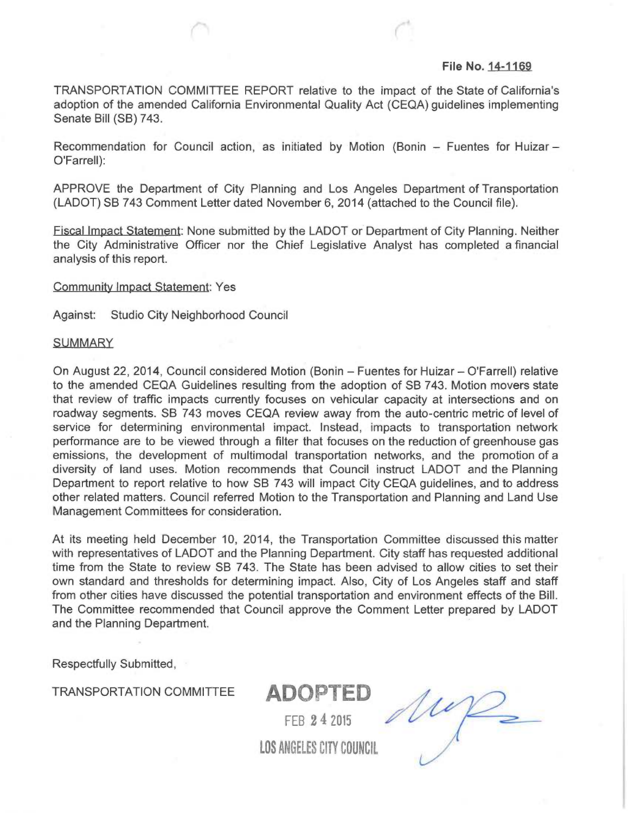### File No. 14-1169

TRANSPORTATION COMMITTEE REPORT relative to the impact of the State of California's adoption of the amended California Environmental Quality Act (CEQA) guidelines implementing Senate Bill (SB) 743.

Recommendation for Council action, as initiated by Motion (Bonin — Fuentes for Huizar — O'Farrell):

APPROVE the Department of City Planning and Los Angeles Department of Transportation (LADOT) SB 743 Comment Letter dated November 6, 2014 (attached to the Council file).

Fiscal Impact Statement: None submitted by the LADOT or Department of City Planning. Neither the City Administrative Officer nor the Chief Legislative Analyst has completed a financial analysis of this report.

Community Impact Statement: Yes

Against: Studio City Neighborhood Council

### **SUMMARY**

On August 22, 2014, Council considered Motion (Bonin — Fuentes for Huizar — O'Farrell) relative to the amended CEQA Guidelines resulting from the adoption of SB 743. Motion movers state that review of traffic impacts currently focuses on vehicular capacity at intersections and on roadway segments. SB 743 moves CEQA review away from the auto-centric metric of level of service for determining environmental impact. Instead, impacts to transportation network performance are to be viewed through a filter that focuses on the reduction of greenhouse gas emissions, the development of multimodal transportation networks, and the promotion of a diversity of land uses. Motion recommends that Council instruct LADOT and the Planning Department to report relative to how SB 743 will impact City CEQA guidelines, and to address other related matters. Council referred Motion to the Transportation and Planning and Land Use Management Committees for consideration.

At its meeting held December 10, 2014, the Transportation Committee discussed this matter with representatives of LADOT and the Planning Department. City staff has requested additional time from the State to review SB 743. The State has been advised to allow cities to set their own standard and thresholds for determining impact. Also, City of Los Angeles staff and staff from other cities have discussed the potential transportation and environment effects of the Bill. The Committee recommended that Council approve the Comment Letter prepared by LADOT and the Planning Department.

Respectfully Submitted,

TRANSPORTATION COMMITTEE ADOPTED

FEB 2 4 2015

LOS ANGELES CITY COUNCIL

My